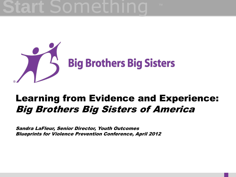

#### Learning from Evidence and Experience: Big Brothers Big Sisters of America

Sandra LaFleur, Senior Director, Youth Outcomes Blueprints for Violence Prevention Conference, April 2012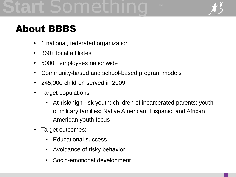

### About BBBS

- 1 national, federated organization
- 360+ local affiliates
- 5000+ employees nationwide
- Community-based and school-based program models
- 245,000 children served in 2009
- Target populations:
	- At-risk/high-risk youth; children of incarcerated parents; youth of military families; Native American, Hispanic, and African American youth focus
- Target outcomes:
	- Educational success
	- Avoidance of risky behavior
	- Socio-emotional development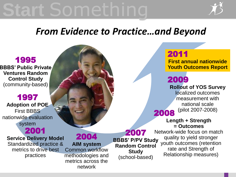

#### *From Evidence to Practice…and Beyond*

#### 2011

**First annual nationwide Youth Outcomes Report**

### 2009

**Rollout of YOS Survey** 

localized outcomes measurement with national scale (pilot 2007-2008) 2008

> **Length + Strength = Outcomes**

Network-wide focus on match quality to yield stronger youth outcomes (retention rate and Strength of Relationship measures)

#### 1995

**BBBS' Public Private Ventures Random Control Study**  (community-based)

#### 1997

**Adoption of POE**  First BBBS nationwide evaluation system 2001

**Service Delivery Model** Standardized practice & metrics to drive best practices

2004 **AIM system**  Common workflow methodologies and metrics across the network

2007 **BBBS' P/PV Study Random Control Study**  (school-based)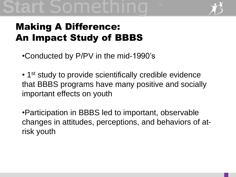

### Making A Difference: An Impact Study of BBBS

•Conducted by P/PV in the mid-1990's

• 1<sup>st</sup> study to provide scientifically credible evidence that BBBS programs have many positive and socially important effects on youth

•Participation in BBBS led to important, observable changes in attitudes, perceptions, and behaviors of atrisk youth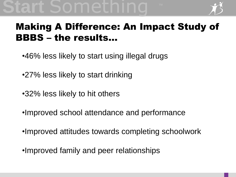

#### Making A Difference: An Impact Study of BBBS – the results…

- •46% less likely to start using illegal drugs
- •27% less likely to start drinking
- •32% less likely to hit others
- •Improved school attendance and performance
- •Improved attitudes towards completing schoolwork
- •Improved family and peer relationships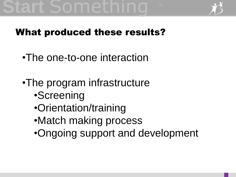# art Somethin



#### What produced these results?

- •The one-to-one interaction
- •The program infrastructure
	- •Screening
	- •Orientation/training
	- •Match making process
	- •Ongoing support and development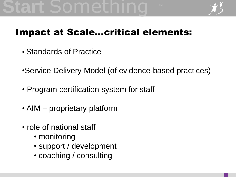

### Impact at Scale…critical elements:

- Standards of Practice
- •Service Delivery Model (of evidence-based practices)
- Program certification system for staff
- AIM proprietary platform
- role of national staff
	- monitoring
	- support / development
	- coaching / consulting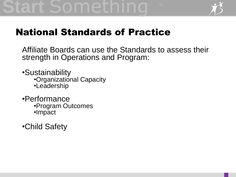### rt Somethi



#### National Standards of Practice

Affiliate Boards can use the Standards to assess their strength in Operations and Program:

•Sustainability •Organizational Capacity

- •Leadership
- •Performance •Program Outcomes •Impact
- •Child Safety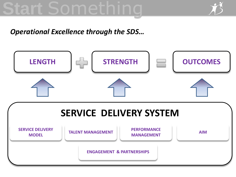# art Somethin



#### *Operational Excellence through the SDS…*

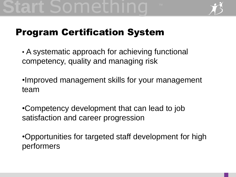

#### Program Certification System

• A systematic approach for achieving functional competency, quality and managing risk

•Improved management skills for your management team

•Competency development that can lead to job satisfaction and career progression

•Opportunities for targeted staff development for high performers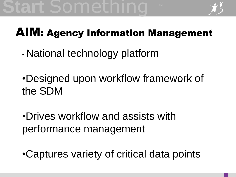

### AIM: Agency Information Management

- National technology platform
- •Designed upon workflow framework of the SDM
- •Drives workflow and assists with performance management
- •Captures variety of critical data points